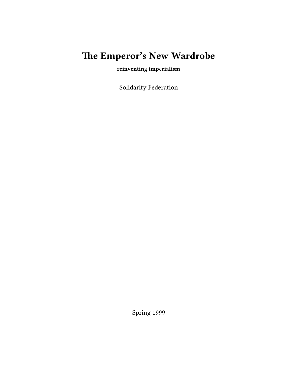# **The Emperor's New Wardrobe**

**reinventing imperialism**

Solidarity Federation

Spring 1999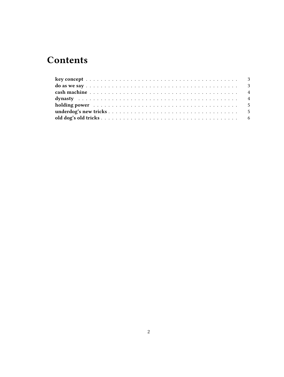# **Contents**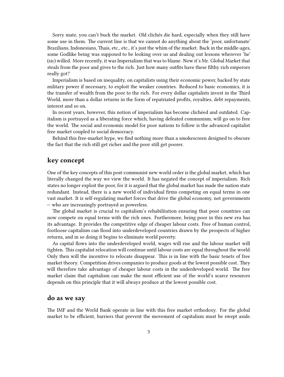Sorry mate, you can't buck the market. Old clichés die hard, especially when they still have some use in them. The current line is that we cannot do anything about the 'poor, unfortunate' Brazilians, Indonesians, Thais, etc., etc., it's just the whim of the market. Back in the middle-ages, some Godlike being was supposed to be looking over us and dealing out lessons wherever 'he' (sic) willed. More recently, it was Imperialism that was to blame. Now it's Mr. Global Market that steals from the poor and gives to the rich. Just how many outfits have these filthy rich emperors really got?

Imperialism is based on inequality, on capitalists using their economic power, backed by state military power if necessary, to exploit the weaker countries. Reduced to basic economics, it is the transfer of wealth from the poor to the rich. For every dollar capitalists invest in the Third World, more than a dollar returns in the form of repatriated profits, royalties, debt repayments, interest and so on.

In recent years, however, this notion of imperialism has become clichéed and outdated. Capitalism is portrayed as a liberating force which, having defeated communism, will go on to free the world. The social and economic model for poor nations to follow is the advanced capitalist free market coupled to social democracy.

Behind this free-market hype, we find nothing more than a smokescreen designed to obscure the fact that the rich still get richer and the poor still get poorer.

#### <span id="page-2-0"></span>**key concept**

One of the key concepts of this post-communist new world order is the global market, which has literally changed the way we view the world. It has negated the concept of imperialism. Rich states no longer exploit the poor, for it is argued that the global market has made the nation state redundant. Instead, there is a new world of individual firms competing on equal terms in one vast market. It is self-regulating market forces that drive the global economy, not governments — who are increasingly portrayed as powerless.

The global market is crucial to capitalism's rehabilitation ensuring that poor countries can now compete on equal terms with the rich ones. Furthermore, being poor in this new era has its advantage. It provides the competitive edge of cheaper labour costs. Free of human control, footloose capitalism can flood into underdeveloped countries drawn by the prospects of higher returns, and in so doing it begins to eliminate world poverty.

As capital flows into the underdeveloped world, wages will rise and the labour market will tighten. This capitalist relocation will continue until labour costs are equal throughout the world. Only then will the incentive to relocate disappear. This is in line with the basic tenets of free market theory. Competition drives companies to produce goods at the lowest possible cost. They will therefore take advantage of cheaper labour costs in the underdeveloped world. The free market claim that capitalism can make the most efficient use of the world's scarce resources depends on this principle that it will always produce at the lowest possible cost.

#### <span id="page-2-1"></span>**do as we say**

The IMF and the World Bank operate in line with this free market orthodoxy. For the global market to be efficient, barriers that prevent the movement of capitalism must be swept aside.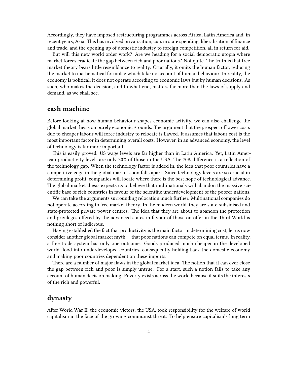Accordingly, they have imposed restructuring programmes across Africa, Latin America and, in recent years, Asia. This has involved privatisation, cuts in state spending, liberalisation of finance and trade, and the opening up of domestic industry to foreign competition, all in return for aid.

But will this new world order work? Are we heading for a social democratic utopia where market forces eradicate the gap between rich and poor nations? Not quite. The truth is that free market theory bears little resemblance to reality. Crucially, it omits the human factor, reducing the market to mathematical formulae which take no account of human behaviour. In reality, the economy is political; it does not operate according to economic laws but by human decisions. As such, who makes the decision, and to what end, matters far more than the laws of supply and demand, as we shall see.

#### <span id="page-3-0"></span>**cash machine**

Before looking at how human behaviour shapes economic activity, we can also challenge the global market thesis on purely economic grounds. The argument that the prospect of lower costs due to cheaper labour will force industry to relocate is flawed. It assumes that labour cost is the most important factor in determining overall costs. However, in an advanced economy, the level of technology is far more important.

This is easily proved. US wage levels are far higher than in Latin America. Yet, Latin American productivity levels are only 30% of those in the USA. The 70% difference is a reflection of the technology gap. When the technology factor is added in, the idea that poor countries have a competitive edge in the global market soon falls apart. Since technology levels are so crucial in determining profit, companies will locate where there is the best hope of technological advance. The global market thesis expects us to believe that multinationals will abandon the massive scientific base of rich countries in favour of the scientific underdevelopment of the poorer nations.

We can take the arguments surrounding relocation much further. Multinational companies do not operate according to free market theory. In the modern world, they are state-subsidised and state-protected private power centres. The idea that they are about to abandon the protection and privileges offered by the advanced states in favour of those on offer in the Third World is nothing short of ludicrous.

Having established the fact that productivity is the main factor in determining cost, let us now consider another global market myth — that poor nations can compete on equal terms. In reality, a free trade system has only one outcome. Goods produced much cheaper in the developed world flood into underdeveloped countries, consequently holding back the domestic economy and making poor countries dependent on these imports.

There are a number of major flaws in the global market idea. The notion that it can ever close the gap between rich and poor is simply untrue. For a start, such a notion fails to take any account of human decision making. Poverty exists across the world because it suits the interests of the rich and powerful.

# <span id="page-3-1"></span>**dynasty**

After World War II, the economic victors, the USA, took responsibility for the welfare of world capitalism in the face of the growing communist threat. To help ensure capitalism's long term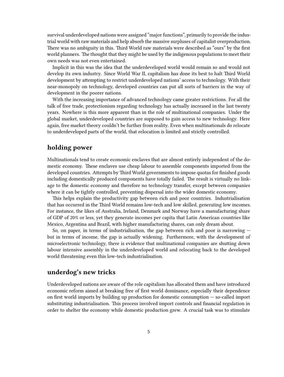survival underdeveloped nations were assigned "major functions", primarily to provide the industrial world with raw materials and help absorb the massive surpluses of capitalist overproduction. There was no ambiguity in this. Third World raw materials were described as "ours" by the first world planners. The thought that they might be used by the indigenous populations to meet their own needs was not even entertained.

Implicit in this was the idea that the underdeveloped world would remain so and would not develop its own industry. Since World War II, capitalism has done its best to halt Third World development by attempting to restrict underdeveloped nations' access to technology. With their near-monopoly on technology, developed countries can put all sorts of barriers in the way of development in the poorer nations.

With the increasing importance of advanced technology came greater restrictions. For all the talk of free trade, protectionism regarding technology has actually increased in the last twenty years. Nowhere is this more apparent than in the role of multinational companies. Under the global market, underdeveloped countries are supposed to gain access to new technology. Here again, free market theory couldn't be further from reality. Even when multinationals do relocate to underdeveloped parts of the world, that relocation is limited and strictly controlled.

## <span id="page-4-0"></span>**holding power**

Multinationals tend to create economic enclaves that are almost entirely independent of the domestic economy. These enclaves use cheap labour to assemble components imported from the developed countries. Attempts by Third World governments to impose quotas for finished goods including domestically produced components have totally failed. The result is virtually no linkage to the domestic economy and therefore no technology transfer, except between companies where it can be tightly controlled, preventing dispersal into the wider domestic economy.

This helps explain the productivity gap between rich and poor countries. Industrialisation that has occurred in the Third World remains low-tech and low skilled, generating low incomes. For instance, the likes of Australia, Ireland, Denmark and Norway have a manufacturing share of GDP of 20% or less, yet they generate incomes per capita that Latin American countries like Mexico, Argentina and Brazil, with higher manufacturing shares, can only dream about.

So, on paper, in terms of industrialisation, the gap between rich and poor is narrowing but in terms of income, the gap is actually widening. Furthermore, with the development of microelectronic technology, there is evidence that multinational companies are shutting down labour intensive assembly in the underdeveloped world and relocating back to the developed world threatening even this low-tech industrialisation.

## <span id="page-4-1"></span>**underdog's new tricks**

Underdeveloped nations are aware of the role capitalism has allocated them and have introduced economic reform aimed at breaking free of first world dominance, especially their dependence on first world imports by building up production for domestic consumption — so-called import substituting industrialisation. This process involved import controls and financial regulation in order to shelter the economy while domestic production grew. A crucial task was to stimulate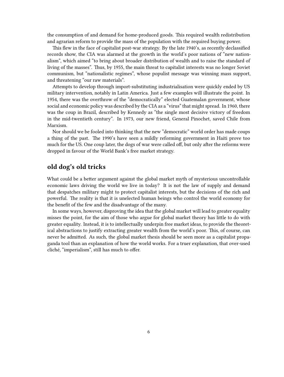the consumption of and demand for home-produced goods. This required wealth redistribution and agrarian reform to provide the mass of the population with the required buying power.

This flew in the face of capitalist post-war strategy. By the late 1940's, as recently declassified records show, the CIA was alarmed at the growth in the world's poor nations of "new nationalism", which aimed "to bring about broader distribution of wealth and to raise the standard of living of the masses". Thus, by 1955, the main threat to capitalist interests was no longer Soviet communism, but "nationalistic regimes", whose populist message was winning mass support, and threatening "our raw materials".

Attempts to develop through import-substituting industrialisation were quickly ended by US military intervention, notably in Latin America. Just a few examples will illustrate the point. In 1954, there was the overthrow of the "democratically" elected Guatemalan government, whose social and economic policy was described by the CIA as a "virus" that might spread. In 1960, there was the coup in Brazil, described by Kennedy as "the single most decisive victory of freedom in the mid-twentieth century". In 1973, our new friend, General Pinochet, saved Chile from Marxism.

Nor should we be fooled into thinking that the new "democratic" world order has made coups a thing of the past. The 1990's have seen a mildly reforming government in Haiti prove too much for the US. One coup later, the dogs of war were called off, but only after the reforms were dropped in favour of the World Bank's free market strategy.

# <span id="page-5-0"></span>**old dog's old tricks**

What could be a better argument against the global market myth of mysterious uncontrollable economic laws driving the world we live in today? It is not the law of supply and demand that despatches military might to protect capitalist interests, but the decisions of the rich and powerful. The reality is that it is unelected human beings who control the world economy for the benefit of the few and the disadvantage of the many.

In some ways, however, disproving the idea that the global market will lead to greater equality misses the point, for the aim of those who argue for global market theory has little to do with greater equality. Instead, it is to intellectually underpin free market ideas, to provide the theoretical abstractions to justify extracting greater wealth from the world's poor. This, of course, can never be admitted. As such, the global market thesis should be seen more as a capitalist propaganda tool than an explanation of how the world works. For a truer explanation, that over-used cliché, "imperialism", still has much to offer.